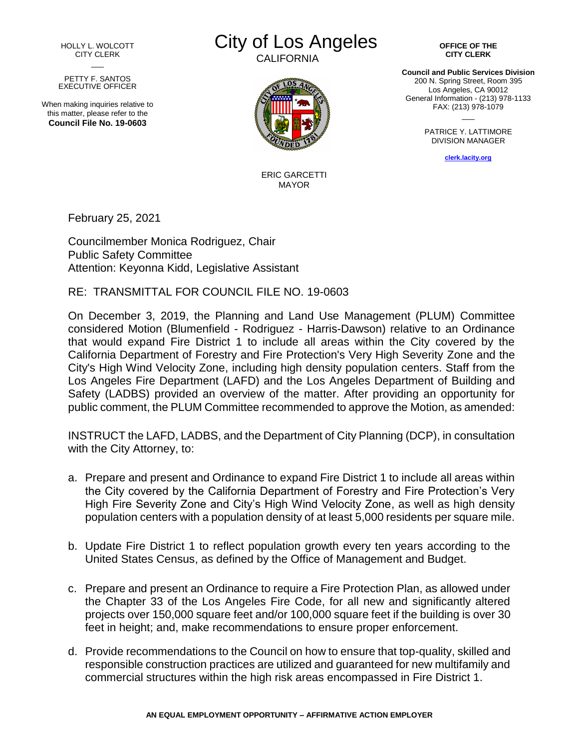HOLLY L. WOLCOTT CITY CLERK  $\overline{\phantom{a}}$ 

## PETTY F. SANTOS EXECUTIVE OFFICER

When making inquiries relative to this matter, please refer to the **Council File No. 19-0603**



**CALIFORNIA** 



ERIC GARCETTI MAYOR

February 25, 2021

Councilmember Monica Rodriguez, Chair Public Safety Committee Attention: Keyonna Kidd, Legislative Assistant

## RE: TRANSMITTAL FOR COUNCIL FILE NO. 19-0603

On December 3, 2019, the Planning and Land Use Management (PLUM) Committee considered Motion (Blumenfield - Rodriguez - Harris-Dawson) relative to an Ordinance that would expand Fire District 1 to include all areas within the City covered by the California Department of Forestry and Fire Protection's Very High Severity Zone and the City's High Wind Velocity Zone, including high density population centers. Staff from the Los Angeles Fire Department (LAFD) and the Los Angeles Department of Building and Safety (LADBS) provided an overview of the matter. After providing an opportunity for public comment, the PLUM Committee recommended to approve the Motion, as amended:

INSTRUCT the LAFD, LADBS, and the Department of City Planning (DCP), in consultation with the City Attorney, to:

- a. Prepare and present and Ordinance to expand Fire District 1 to include all areas within the City covered by the California Department of Forestry and Fire Protection's Very High Fire Severity Zone and City's High Wind Velocity Zone, as well as high density population centers with a population density of at least 5,000 residents per square mile.
- b. Update Fire District 1 to reflect population growth every ten years according to the United States Census, as defined by the Office of Management and Budget.
- c. Prepare and present an Ordinance to require a Fire Protection Plan, as allowed under the Chapter 33 of the Los Angeles Fire Code, for all new and significantly altered projects over 150,000 square feet and/or 100,000 square feet if the building is over 30 feet in height; and, make recommendations to ensure proper enforcement.
- d. Provide recommendations to the Council on how to ensure that top-quality, skilled and responsible construction practices are utilized and guaranteed for new multifamily and commercial structures within the high risk areas encompassed in Fire District 1.

**OFFICE OF THE CITY CLERK**

**Council and Public Services Division** 200 N. Spring Street, Room 395 Los Angeles, CA 90012 General Information - (213) 978-1133 FAX: (213) 978-1079  $\overline{\phantom{a}}$ 

> PATRICE Y. LATTIMORE DIVISION MANAGER

> > **[clerk.lacity.org](http://clerk.lacity.org/)**